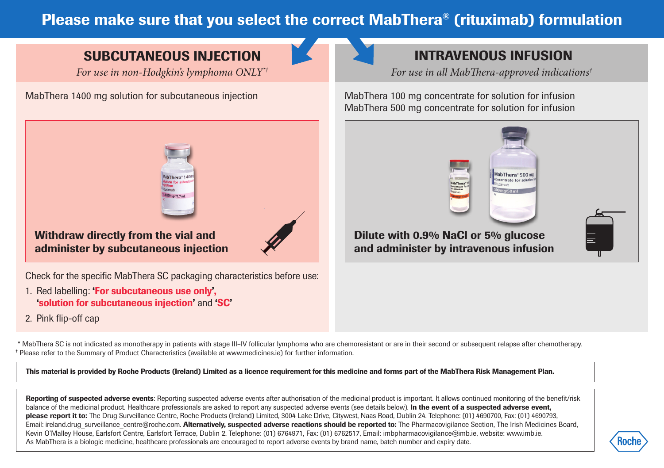## Please make sure that you select the correct MabThera® (rituximab) formulation

## SUBCUTANEOUS INJECTION

*For use in non-Hodgkin's lymphoma ONLY\*†*

MabThera 1400 mg solution for subcutaneous injection MabThera 100 mg concentrate for solution for infusion



## INTRAVENOUS INFUSION

*For use in all MabThera-approved indications†*

MabThera 500 mg concentrate for solution for infusion



Withdraw directly from the vial and administer by subcutaneous injection

Check for the specific MabThera SC packaging characteristics before use:

- 1. Red labelling: 'For subcutaneous use only', 'solution for subcutaneous injection' and 'SC'
- 2. Pink flip-off cap

 \* MabThera SC is not indicated as monotherapy in patients with stage III–IV follicular lymphoma who are chemoresistant or are in their second or subsequent relapse after chemotherapy. † Please refer to the Summary of Product Characteristics (available at www.medicines.ie) for further information.

This material is provided by Roche Products (Ireland) Limited as a licence requirement for this medicine and forms part of the MabThera Risk Management Plan.

Reporting of suspected adverse events: Reporting suspected adverse events after authorisation of the medicinal product is important. It allows continued monitoring of the benefit/risk balance of the medicinal product. Healthcare professionals are asked to report any suspected adverse events (see details below). In the event of a suspected adverse event, please report it to: The Drug Surveillance Centre, Roche Products (Ireland) Limited, 3004 Lake Drive, Citywest, Naas Road, Dublin 24. Telephone: (01) 4690700, Fax: (01) 4690793, Email: ireland.drug\_surveillance\_centre@roche.com. Alternatively, suspected adverse reactions should be reported to: The Pharmacovigilance Section, The Irish Medicines Board, Kevin O'Malley House, Earlsfort Centre, Earlsfort Terrace, Dublin 2. Telephone: (01) 6764971, Fax: (01) 6762517, Email: imbpharmacovigilance@imb.ie, website: www.imb.ie. As MabThera is a biologic medicine, healthcare professionals are encouraged to report adverse events by brand name, batch number and expiry date.